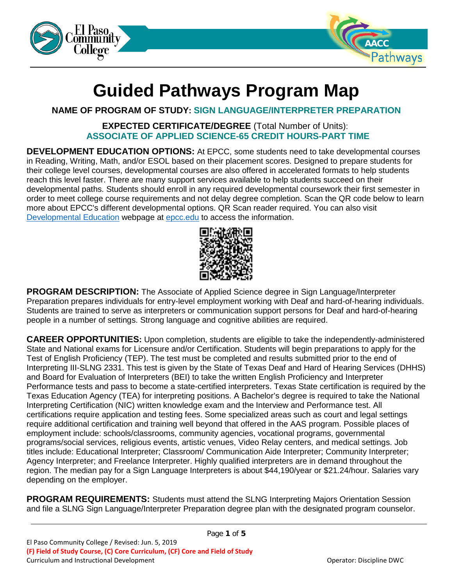



# **Guided Pathways Program Map**

# **NAME OF PROGRAM OF STUDY: SIGN LANGUAGE/INTERPRETER PREPARATION**

# **EXPECTED CERTIFICATE/DEGREE** (Total Number of Units): **ASSOCIATE OF APPLIED SCIENCE-65 CREDIT HOURS-PART TIME**

**DEVELOPMENT EDUCATION OPTIONS:** At EPCC, some students need to take developmental courses in Reading, Writing, Math, and/or ESOL based on their placement scores. Designed to prepare students for their college level courses, developmental courses are also offered in accelerated formats to help students reach this level faster. There are many support services available to help students succeed on their developmental paths. Students should enroll in any required developmental coursework their first semester in order to meet college course requirements and not delay degree completion. Scan the QR code below to learn more about EPCC's different developmental options. QR Scan reader required. You can also visit [Developmental Education](https://www.epcc.edu/Academics/DevelopmentalEducation) webpage at [epcc.edu](https://epcc.edu/) to access the information.



**PROGRAM DESCRIPTION:** The Associate of Applied Science degree in Sign Language/Interpreter Preparation prepares individuals for entry-level employment working with Deaf and hard-of-hearing individuals. Students are trained to serve as interpreters or communication support persons for Deaf and hard-of-hearing people in a number of settings. Strong language and cognitive abilities are required.

**CAREER OPPORTUNITIES:** Upon completion, students are eligible to take the independently-administered State and National exams for Licensure and/or Certification. Students will begin preparations to apply for the Test of English Proficiency (TEP). The test must be completed and results submitted prior to the end of Interpreting III-SLNG 2331. This test is given by the State of Texas Deaf and Hard of Hearing Services (DHHS) and Board for Evaluation of Interpreters (BEI) to take the written English Proficiency and Interpreter Performance tests and pass to become a state-certified interpreters. Texas State certification is required by the Texas Education Agency (TEA) for interpreting positions. A Bachelor's degree is required to take the National Interpreting Certification (NIC) written knowledge exam and the Interview and Performance test. All certifications require application and testing fees. Some specialized areas such as court and legal settings require additional certification and training well beyond that offered in the AAS program. Possible places of employment include: schools/classrooms, community agencies, vocational programs, governmental programs/social services, religious events, artistic venues, Video Relay centers, and medical settings. Job titles include: Educational Interpreter; Classroom/ Communication Aide Interpreter; Community Interpreter; Agency Interpreter; and Freelance Interpreter. Highly qualified interpreters are in demand throughout the region. The median pay for a Sign Language Interpreters is about \$44,190/year or \$21.24/hour. Salaries vary depending on the employer.

**PROGRAM REQUIREMENTS:** Students must attend the SLNG Interpreting Majors Orientation Session and file a SLNG Sign Language/Interpreter Preparation degree plan with the designated program counselor.

Page **1** of **5**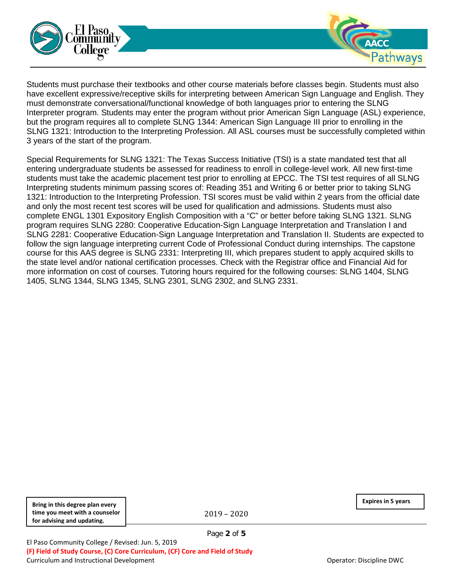



Special Requirements for SLNG 1321: The Texas Success Initiative (TSI) is a state mandated test that all entering undergraduate students be assessed for readiness to enroll in college-level work. All new first-time students must take the academic placement test prior to enrolling at EPCC. The TSI test requires of all SLNG Interpreting students minimum passing scores of: Reading 351 and Writing 6 or better prior to taking SLNG 1321: Introduction to the Interpreting Profession. TSI scores must be valid within 2 years from the official date and only the most recent test scores will be used for qualification and admissions. Students must also complete ENGL 1301 Expository English Composition with a "C" or better before taking SLNG 1321. SLNG program requires SLNG 2280: Cooperative Education-Sign Language Interpretation and Translation I and SLNG 2281: Cooperative Education-Sign Language Interpretation and Translation II. Students are expected to follow the sign language interpreting current Code of Professional Conduct during internships. The capstone course for this AAS degree is SLNG 2331: Interpreting III, which prepares student to apply acquired skills to the state level and/or national certification processes. Check with the Registrar office and Financial Aid for more information on cost of courses. Tutoring hours required for the following courses: SLNG 1404, SLNG 1405, SLNG 1344, SLNG 1345, SLNG 2301, SLNG 2302, and SLNG 2331.

**Bring in this degree plan every time you meet with a counselor for advising and updating.**

2019 – 2020

Page **2** of **5**

**Expires in 5 years**

**AACC**<br>Pathways

El Paso Community College / Revised: Jun. 5, 2019 **(F) Field of Study Course, (C) Core Curriculum, (CF) Core and Field of Study** Curriculum and Instructional Development **Curriculum and Instructional Development** Operator: Discipline DWC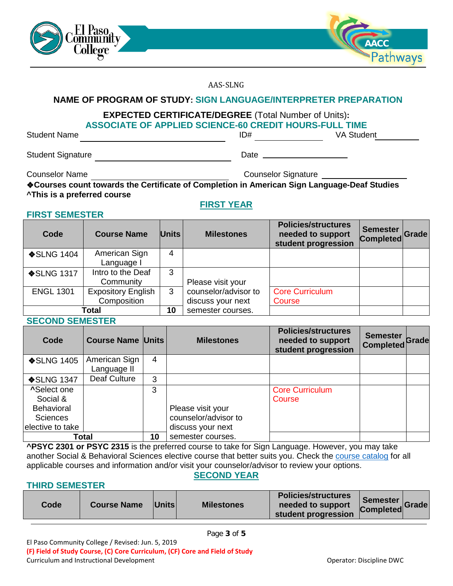



AAS-SLNG

### **NAME OF PROGRAM OF STUDY: SIGN LANGUAGE/INTERPRETER PREPARATION**

# **EXPECTED CERTIFICATE/DEGREE** (Total Number of Units)**: ASSOCIATE OF APPLIED SCIENCE-60 CREDIT HOURS-FULL TIME**

Student Name **ID**#

Student Signature Date

Counselor Name Counselor Signature Counselor Signature

**FIRST SEMESTER**

❖**Courses count towards the Certificate of Completion in American Sign Language-Deaf Studies ^This is a preferred course**

#### **FIRST YEAR**

| Code              | <b>Course Name</b>        | <b>Units</b> | <b>Milestones</b>    | <b>Policies/structures</b><br>needed to support<br>student progression | <b>Semester</b><br>Completed Grade |  |
|-------------------|---------------------------|--------------|----------------------|------------------------------------------------------------------------|------------------------------------|--|
| <b>❖SLNG 1404</b> | American Sign             | 4            |                      |                                                                        |                                    |  |
|                   | Language I                |              |                      |                                                                        |                                    |  |
| <b>❖SLNG 1317</b> | Intro to the Deaf         | 3            |                      |                                                                        |                                    |  |
|                   | Community                 |              | Please visit your    |                                                                        |                                    |  |
| <b>ENGL 1301</b>  | <b>Expository English</b> | 3            | counselor/advisor to | <b>Core Curriculum</b>                                                 |                                    |  |
|                   | Composition               |              | discuss your next    | Course                                                                 |                                    |  |
| Total             |                           | 10           | semester courses.    |                                                                        |                                    |  |

#### **SECOND SEMESTER**

| Code               | <b>Course Name Units</b> |    | <b>Milestones</b>    | <b>Policies/structures</b><br>needed to support<br>student progression | <b>Semester</b><br><b>Completed</b> | Grade |
|--------------------|--------------------------|----|----------------------|------------------------------------------------------------------------|-------------------------------------|-------|
| <b>❖SLNG 1405</b>  | American Sign            | 4  |                      |                                                                        |                                     |       |
|                    | Language II              |    |                      |                                                                        |                                     |       |
| <b>❖SLNG 1347</b>  | Deaf Culture             | 3  |                      |                                                                        |                                     |       |
| <b>^Select one</b> |                          | 3  |                      | <b>Core Curriculum</b>                                                 |                                     |       |
| Social &           |                          |    |                      | Course                                                                 |                                     |       |
| <b>Behavioral</b>  |                          |    | Please visit your    |                                                                        |                                     |       |
| <b>Sciences</b>    |                          |    | counselor/advisor to |                                                                        |                                     |       |
| elective to take   |                          |    | discuss your next    |                                                                        |                                     |       |
| Total              |                          | 10 | semester courses.    |                                                                        |                                     |       |

**^PSYC 2301 or PSYC 2315** is the preferred course to take for Sign Language. However, you may take another Social & Behavioral Sciences elective course that better suits you. Check the [course catalog](http://www.epcc.edu/Academics/Catalog) for all applicable courses and information and/or visit your counselor/advisor to review your options. **SECOND YEAR**

### **THIRD SEMESTER**

| <b>Policies/structures</b><br>Semester<br>Completed Grade<br><b>Units</b><br><b>Milestones</b><br><b>Code</b><br><b>Course Name</b><br>needed to support<br>student progression |
|---------------------------------------------------------------------------------------------------------------------------------------------------------------------------------|
|---------------------------------------------------------------------------------------------------------------------------------------------------------------------------------|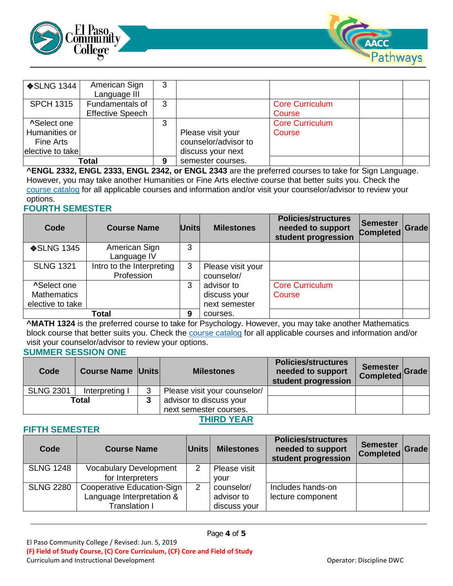



| <b>❖SLNG 1344</b>                                                    | American Sign<br>Language III              | 3 |                                                                |                                  |  |
|----------------------------------------------------------------------|--------------------------------------------|---|----------------------------------------------------------------|----------------------------------|--|
| <b>SPCH 1315</b>                                                     | Fundamentals of<br><b>Effective Speech</b> | 3 |                                                                | <b>Core Curriculum</b><br>Course |  |
| <b>^Select one</b><br>Humanities or<br>Fine Arts<br>elective to take |                                            | 3 | Please visit your<br>counselor/advisor to<br>discuss your next | <b>Core Curriculum</b><br>Course |  |
| Total                                                                |                                            | 9 | semester courses.                                              |                                  |  |

**^ENGL 2332, ENGL 2333, ENGL 2342, or ENGL 2343** are the preferred courses to take for Sign Language. However, you may take another Humanities or Fine Arts elective course that better suits you. Check the [course catalog](http://www.epcc.edu/Academics/Catalog) for all applicable courses and information and/or visit your counselor/advisor to review your options.

### **FOURTH SEMESTER**

| Code                                                         | <b>Course Name</b>                      | <b>Units</b> | <b>Milestones</b>                           | <b>Policies/structures</b><br>needed to support<br>student progression | Semester<br><b>Completed</b> | Grade |
|--------------------------------------------------------------|-----------------------------------------|--------------|---------------------------------------------|------------------------------------------------------------------------|------------------------------|-------|
| <b>❖SLNG 1345</b>                                            | American Sign<br>Language IV            | 3            |                                             |                                                                        |                              |       |
| <b>SLNG 1321</b>                                             | Intro to the Interpreting<br>Profession | 3            | Please visit your<br>counselor/             |                                                                        |                              |       |
| <b>^Select one</b><br><b>Mathematics</b><br>elective to take |                                         | 3            | advisor to<br>discuss your<br>next semester | <b>Core Curriculum</b><br>Course                                       |                              |       |
| Total                                                        |                                         |              | courses.                                    |                                                                        |                              |       |

**^MATH 1324** is the preferred course to take for Psychology. However, you may take another Mathematics block course that better suits you. Check the [course catalog](http://www.epcc.edu/Academics/Catalog) for all applicable courses and information and/or visit your counselor/advisor to review your options.

#### **SUMMER SESSION ONE**

| Code             | <b>Course Name Units</b> |   | <b>Milestones</b>            | <b>Policies/structures</b><br>needed to support<br>student progression | Semester  <br>Semester Grade |  |
|------------------|--------------------------|---|------------------------------|------------------------------------------------------------------------|------------------------------|--|
| <b>SLNG 2301</b> | Interpreting I           | 3 | Please visit your counselor/ |                                                                        |                              |  |
| Total            |                          |   | advisor to discuss your      |                                                                        |                              |  |
|                  |                          |   | next semester courses.       |                                                                        |                              |  |

### **THIRD YEAR**

#### **FIFTH SEMESTER**

| Code             | <b>Course Name</b>            | Units          | <b>Milestones</b> | <b>Policies/structures</b><br>needed to support<br>student progression | <b>Semester</b><br>Completed Grade |  |
|------------------|-------------------------------|----------------|-------------------|------------------------------------------------------------------------|------------------------------------|--|
| <b>SLNG 1248</b> | <b>Vocabulary Development</b> | $\overline{2}$ | Please visit      |                                                                        |                                    |  |
|                  | for Interpreters              |                | vour              |                                                                        |                                    |  |
| <b>SLNG 2280</b> | Cooperative Education-Sign    | $\overline{2}$ | counselor/        | Includes hands-on                                                      |                                    |  |
|                  | Language Interpretation &     |                | advisor to        | lecture component                                                      |                                    |  |
|                  | Translation I                 |                | discuss your      |                                                                        |                                    |  |

Page **4** of **5**